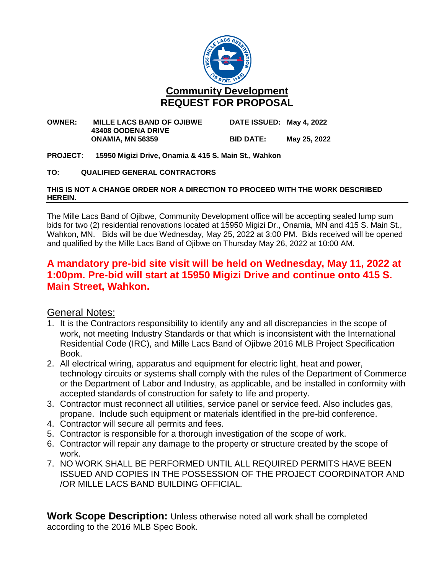

#### **OWNER: MILLE LACS BAND OF OJIBWE DATE ISSUED: May 4, 2022 43408 OODENA DRIVE ONAMIA, MN 56359 BID DATE: May 25, 2022**

**PROJECT: 15950 Migizi Drive, Onamia & 415 S. Main St., Wahkon**

#### **TO: QUALIFIED GENERAL CONTRACTORS**

#### **THIS IS NOT A CHANGE ORDER NOR A DIRECTION TO PROCEED WITH THE WORK DESCRIBED HEREIN.**

The Mille Lacs Band of Ojibwe, Community Development office will be accepting sealed lump sum bids for two (2) residential renovations located at 15950 Migizi Dr., Onamia, MN and 415 S. Main St., Wahkon, MN. Bids will be due Wednesday, May 25, 2022 at 3:00 PM. Bids received will be opened and qualified by the Mille Lacs Band of Ojibwe on Thursday May 26, 2022 at 10:00 AM.

## **A mandatory pre-bid site visit will be held on Wednesday, May 11, 2022 at 1:00pm. Pre-bid will start at 15950 Migizi Drive and continue onto 415 S. Main Street, Wahkon.**

### General Notes:

- 1. It is the Contractors responsibility to identify any and all discrepancies in the scope of work, not meeting Industry Standards or that which is inconsistent with the International Residential Code (IRC), and Mille Lacs Band of Ojibwe 2016 MLB Project Specification Book.
- 2. All electrical wiring, apparatus and equipment for electric light, heat and power, technology circuits or systems shall comply with the rules of the Department of Commerce or the Department of Labor and Industry, as applicable, and be installed in conformity with accepted standards of construction for safety to life and property.
- 3. Contractor must reconnect all utilities, service panel or service feed. Also includes gas, propane. Include such equipment or materials identified in the pre-bid conference.
- 4. Contractor will secure all permits and fees.
- 5. Contractor is responsible for a thorough investigation of the scope of work.
- 6. Contractor will repair any damage to the property or structure created by the scope of work.
- 7. NO WORK SHALL BE PERFORMED UNTIL ALL REQUIRED PERMITS HAVE BEEN ISSUED AND COPIES IN THE POSSESSION OF THE PROJECT COORDINATOR AND /OR MILLE LACS BAND BUILDING OFFICIAL.

**Work Scope Description:** Unless otherwise noted all work shall be completed according to the 2016 MLB Spec Book.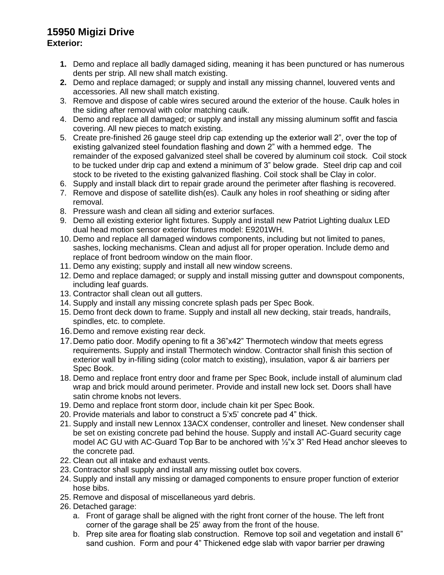# **15950 Migizi Drive**

### **Exterior:**

- **1.** Demo and replace all badly damaged siding, meaning it has been punctured or has numerous dents per strip. All new shall match existing.
- **2.** Demo and replace damaged; or supply and install any missing channel, louvered vents and accessories. All new shall match existing.
- 3. Remove and dispose of cable wires secured around the exterior of the house. Caulk holes in the siding after removal with color matching caulk.
- 4. Demo and replace all damaged; or supply and install any missing aluminum soffit and fascia covering. All new pieces to match existing.
- 5. Create pre-finished 26 gauge steel drip cap extending up the exterior wall 2", over the top of existing galvanized steel foundation flashing and down 2" with a hemmed edge. The remainder of the exposed galvanized steel shall be covered by aluminum coil stock. Coil stock to be tucked under drip cap and extend a minimum of 3" below grade. Steel drip cap and coil stock to be riveted to the existing galvanized flashing. Coil stock shall be Clay in color.
- 6. Supply and install black dirt to repair grade around the perimeter after flashing is recovered.
- 7. Remove and dispose of satellite dish(es). Caulk any holes in roof sheathing or siding after removal.
- 8. Pressure wash and clean all siding and exterior surfaces.
- 9. Demo all existing exterior light fixtures. Supply and install new Patriot Lighting dualux LED dual head motion sensor exterior fixtures model: E9201WH.
- 10. Demo and replace all damaged windows components, including but not limited to panes, sashes, locking mechanisms. Clean and adjust all for proper operation. Include demo and replace of front bedroom window on the main floor.
- 11. Demo any existing; supply and install all new window screens.
- 12. Demo and replace damaged; or supply and install missing gutter and downspout components, including leaf guards.
- 13. Contractor shall clean out all gutters.
- 14. Supply and install any missing concrete splash pads per Spec Book.
- 15. Demo front deck down to frame. Supply and install all new decking, stair treads, handrails, spindles, etc. to complete.
- 16.Demo and remove existing rear deck.
- 17.Demo patio door. Modify opening to fit a 36"x42" Thermotech window that meets egress requirements. Supply and install Thermotech window. Contractor shall finish this section of exterior wall by in-filling siding (color match to existing), insulation, vapor & air barriers per Spec Book.
- 18. Demo and replace front entry door and frame per Spec Book, include install of aluminum clad wrap and brick mould around perimeter. Provide and install new lock set. Doors shall have satin chrome knobs not levers.
- 19. Demo and replace front storm door, include chain kit per Spec Book.
- 20. Provide materials and labor to construct a 5'x5' concrete pad 4" thick.
- 21. Supply and install new Lennox 13ACX condenser, controller and lineset. New condenser shall be set on existing concrete pad behind the house. Supply and install AC-Guard security cage model AC GU with AC-Guard Top Bar to be anchored with  $\frac{1}{2}$ "x 3" Red Head anchor sleeves to the concrete pad.
- 22. Clean out all intake and exhaust vents.
- 23. Contractor shall supply and install any missing outlet box covers.
- 24. Supply and install any missing or damaged components to ensure proper function of exterior hose bibs.
- 25. Remove and disposal of miscellaneous yard debris.
- 26. Detached garage:
	- a. Front of garage shall be aligned with the right front corner of the house. The left front corner of the garage shall be 25' away from the front of the house.
	- b. Prep site area for floating slab construction. Remove top soil and vegetation and install 6" sand cushion. Form and pour 4" Thickened edge slab with vapor barrier per drawing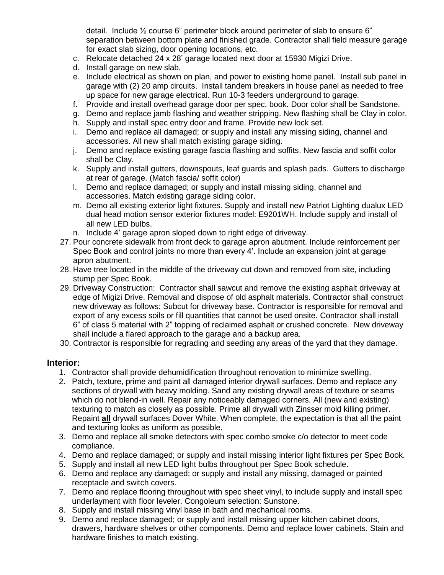detail. Include ½ course 6" perimeter block around perimeter of slab to ensure 6" separation between bottom plate and finished grade. Contractor shall field measure garage for exact slab sizing, door opening locations, etc.

- c. Relocate detached 24 x 28' garage located next door at 15930 Migizi Drive.
- d. Install garage on new slab.
- e. Include electrical as shown on plan, and power to existing home panel. Install sub panel in garage with (2) 20 amp circuits. Install tandem breakers in house panel as needed to free up space for new garage electrical. Run 10-3 feeders underground to garage.
- f. Provide and install overhead garage door per spec. book. Door color shall be Sandstone.
- g. Demo and replace jamb flashing and weather stripping. New flashing shall be Clay in color.
- h. Supply and install spec entry door and frame. Provide new lock set.
- i. Demo and replace all damaged; or supply and install any missing siding, channel and accessories. All new shall match existing garage siding.
- j. Demo and replace existing garage fascia flashing and soffits. New fascia and soffit color shall be Clay.
- k. Supply and install gutters, downspouts, leaf guards and splash pads. Gutters to discharge at rear of garage. (Match fascia/ soffit color)
- l. Demo and replace damaged; or supply and install missing siding, channel and accessories. Match existing garage siding color.
- m. Demo all existing exterior light fixtures. Supply and install new Patriot Lighting dualux LED dual head motion sensor exterior fixtures model: E9201WH. Include supply and install of all new LED bulbs.
- n. Include 4' garage apron sloped down to right edge of driveway.
- 27. Pour concrete sidewalk from front deck to garage apron abutment. Include reinforcement per Spec Book and control joints no more than every 4'. Include an expansion joint at garage apron abutment.
- 28. Have tree located in the middle of the driveway cut down and removed from site, including stump per Spec Book.
- 29. Driveway Construction: Contractor shall sawcut and remove the existing asphalt driveway at edge of Migizi Drive. Removal and dispose of old asphalt materials. Contractor shall construct new driveway as follows: Subcut for driveway base. Contractor is responsible for removal and export of any excess soils or fill quantities that cannot be used onsite. Contractor shall install 6" of class 5 material with 2" topping of reclaimed asphalt or crushed concrete. New driveway shall include a flared approach to the garage and a backup area.
- 30. Contractor is responsible for regrading and seeding any areas of the yard that they damage.

#### **Interior:**

- 1. Contractor shall provide dehumidification throughout renovation to minimize swelling.
- 2. Patch, texture, prime and paint all damaged interior drywall surfaces. Demo and replace any sections of drywall with heavy molding. Sand any existing drywall areas of texture or seams which do not blend-in well. Repair any noticeably damaged corners. All (new and existing) texturing to match as closely as possible. Prime all drywall with Zinsser mold killing primer. Repaint **all** drywall surfaces Dover White. When complete, the expectation is that all the paint and texturing looks as uniform as possible.
- 3. Demo and replace all smoke detectors with spec combo smoke c/o detector to meet code compliance.
- 4. Demo and replace damaged; or supply and install missing interior light fixtures per Spec Book.
- 5. Supply and install all new LED light bulbs throughout per Spec Book schedule.
- 6. Demo and replace any damaged; or supply and install any missing, damaged or painted receptacle and switch covers.
- 7. Demo and replace flooring throughout with spec sheet vinyl, to include supply and install spec underlayment with floor leveler. Congoleum selection: Sunstone.
- 8. Supply and install missing vinyl base in bath and mechanical rooms.
- 9. Demo and replace damaged; or supply and install missing upper kitchen cabinet doors, drawers, hardware shelves or other components. Demo and replace lower cabinets. Stain and hardware finishes to match existing.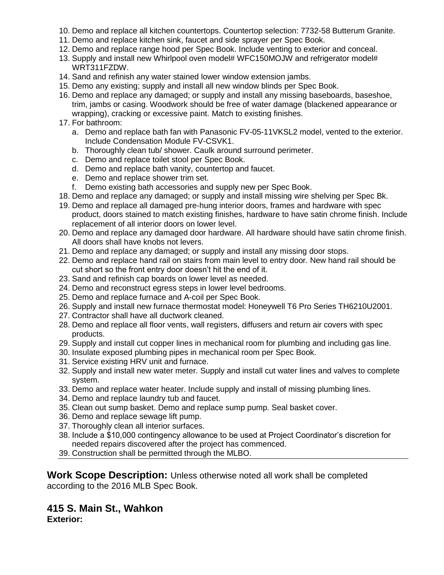- 10. Demo and replace all kitchen countertops. Countertop selection: 7732-58 Butterum Granite.
- 11. Demo and replace kitchen sink, faucet and side sprayer per Spec Book.
- 12. Demo and replace range hood per Spec Book. Include venting to exterior and conceal.
- 13. Supply and install new Whirlpool oven model# WFC150MOJW and refrigerator model# WRT311FZDW.
- 14. Sand and refinish any water stained lower window extension jambs.
- 15. Demo any existing; supply and install all new window blinds per Spec Book.
- 16. Demo and replace any damaged; or supply and install any missing baseboards, baseshoe, trim, jambs or casing. Woodwork should be free of water damage (blackened appearance or wrapping), cracking or excessive paint. Match to existing finishes.
- 17. For bathroom:
	- a. Demo and replace bath fan with Panasonic FV-05-11VKSL2 model, vented to the exterior. Include Condensation Module FV-CSVK1.
	- b. Thoroughly clean tub/ shower. Caulk around surround perimeter.
	- c. Demo and replace toilet stool per Spec Book.
	- d. Demo and replace bath vanity, countertop and faucet.
	- e. Demo and replace shower trim set.
	- f. Demo existing bath accessories and supply new per Spec Book.
- 18. Demo and replace any damaged; or supply and install missing wire shelving per Spec Bk.
- 19. Demo and replace all damaged pre-hung interior doors, frames and hardware with spec product, doors stained to match existing finishes, hardware to have satin chrome finish. Include replacement of all interior doors on lower level.
- 20. Demo and replace any damaged door hardware. All hardware should have satin chrome finish. All doors shall have knobs not levers.
- 21. Demo and replace any damaged; or supply and install any missing door stops.
- 22. Demo and replace hand rail on stairs from main level to entry door. New hand rail should be cut short so the front entry door doesn't hit the end of it.
- 23. Sand and refinish cap boards on lower level as needed.
- 24. Demo and reconstruct egress steps in lower level bedrooms.
- 25. Demo and replace furnace and A-coil per Spec Book.
- 26. Supply and install new furnace thermostat model: Honeywell T6 Pro Series TH6210U2001.
- 27. Contractor shall have all ductwork cleaned.
- 28. Demo and replace all floor vents, wall registers, diffusers and return air covers with spec products.
- 29. Supply and install cut copper lines in mechanical room for plumbing and including gas line.
- 30. Insulate exposed plumbing pipes in mechanical room per Spec Book.
- 31. Service existing HRV unit and furnace.
- 32. Supply and install new water meter. Supply and install cut water lines and valves to complete system.
- 33. Demo and replace water heater. Include supply and install of missing plumbing lines.
- 34. Demo and replace laundry tub and faucet.
- 35. Clean out sump basket. Demo and replace sump pump. Seal basket cover.
- 36. Demo and replace sewage lift pump.
- 37. Thoroughly clean all interior surfaces.
- 38. Include a \$10,000 contingency allowance to be used at Project Coordinator's discretion for needed repairs discovered after the project has commenced.

39. Construction shall be permitted through the MLBO.

**Work Scope Description:** Unless otherwise noted all work shall be completed according to the 2016 MLB Spec Book.

# **415 S. Main St., Wahkon**

**Exterior:**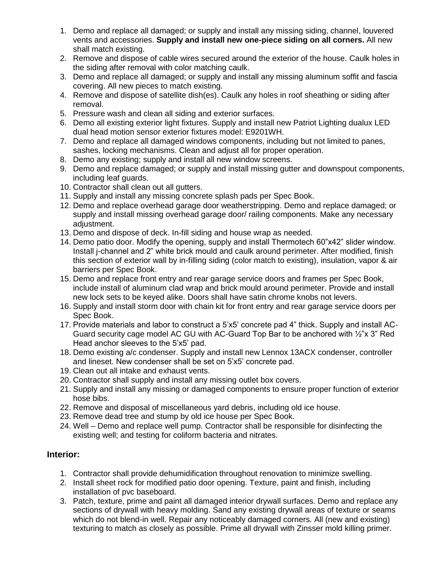- 1. Demo and replace all damaged; or supply and install any missing siding, channel, louvered vents and accessories. **Supply and install new one-piece siding on all corners.** All new shall match existing.
- 2. Remove and dispose of cable wires secured around the exterior of the house. Caulk holes in the siding after removal with color matching caulk.
- 3. Demo and replace all damaged; or supply and install any missing aluminum soffit and fascia covering. All new pieces to match existing.
- 4. Remove and dispose of satellite dish(es). Caulk any holes in roof sheathing or siding after removal.
- 5. Pressure wash and clean all siding and exterior surfaces.
- 6. Demo all existing exterior light fixtures. Supply and install new Patriot Lighting dualux LED dual head motion sensor exterior fixtures model: E9201WH.
- 7. Demo and replace all damaged windows components, including but not limited to panes, sashes, locking mechanisms. Clean and adjust all for proper operation.
- 8. Demo any existing; supply and install all new window screens.
- 9. Demo and replace damaged; or supply and install missing gutter and downspout components, including leaf guards.
- 10. Contractor shall clean out all gutters.
- 11. Supply and install any missing concrete splash pads per Spec Book.
- 12. Demo and replace overhead garage door weatherstripping. Demo and replace damaged; or supply and install missing overhead garage door/ railing components. Make any necessary adiustment.
- 13. Demo and dispose of deck. In-fill siding and house wrap as needed.
- 14. Demo patio door. Modify the opening, supply and install Thermotech 60"x42" slider window. Install j-channel and 2" white brick mould and caulk around perimeter. After modified, finish this section of exterior wall by in-filling siding (color match to existing), insulation, vapor & air barriers per Spec Book.
- 15. Demo and replace front entry and rear garage service doors and frames per Spec Book, include install of aluminum clad wrap and brick mould around perimeter. Provide and install new lock sets to be keyed alike. Doors shall have satin chrome knobs not levers.
- 16. Supply and install storm door with chain kit for front entry and rear garage service doors per Spec Book.
- 17. Provide materials and labor to construct a 5'x5' concrete pad 4" thick. Supply and install AC-Guard security cage model AC GU with AC-Guard Top Bar to be anchored with ½"x 3" Red Head anchor sleeves to the 5'x5' pad.
- 18. Demo existing a/c condenser. Supply and install new Lennox 13ACX condenser, controller and lineset. New condenser shall be set on 5'x5' concrete pad.
- 19. Clean out all intake and exhaust vents.
- 20. Contractor shall supply and install any missing outlet box covers.
- 21. Supply and install any missing or damaged components to ensure proper function of exterior hose bibs.
- 22. Remove and disposal of miscellaneous yard debris, including old ice house.
- 23. Remove dead tree and stump by old ice house per Spec Book.
- 24. Well Demo and replace well pump. Contractor shall be responsible for disinfecting the existing well; and testing for coliform bacteria and nitrates.

### **Interior:**

- 1. Contractor shall provide dehumidification throughout renovation to minimize swelling.
- 2. Install sheet rock for modified patio door opening. Texture, paint and finish, including installation of pvc baseboard.
- 3. Patch, texture, prime and paint all damaged interior drywall surfaces. Demo and replace any sections of drywall with heavy molding. Sand any existing drywall areas of texture or seams which do not blend-in well. Repair any noticeably damaged corners. All (new and existing) texturing to match as closely as possible. Prime all drywall with Zinsser mold killing primer.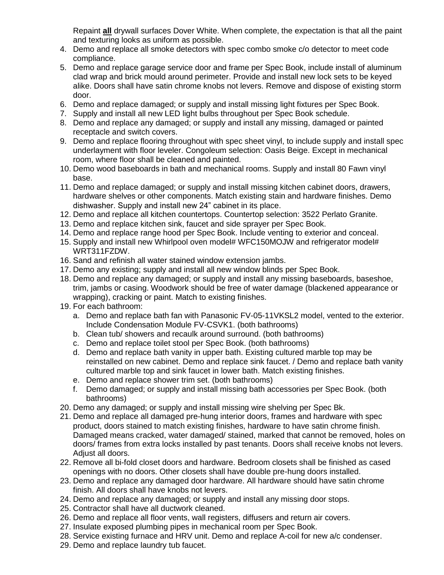Repaint **all** drywall surfaces Dover White. When complete, the expectation is that all the paint and texturing looks as uniform as possible.

- 4. Demo and replace all smoke detectors with spec combo smoke c/o detector to meet code compliance.
- 5. Demo and replace garage service door and frame per Spec Book, include install of aluminum clad wrap and brick mould around perimeter. Provide and install new lock sets to be keyed alike. Doors shall have satin chrome knobs not levers. Remove and dispose of existing storm door.
- 6. Demo and replace damaged; or supply and install missing light fixtures per Spec Book.
- 7. Supply and install all new LED light bulbs throughout per Spec Book schedule.
- 8. Demo and replace any damaged; or supply and install any missing, damaged or painted receptacle and switch covers.
- 9. Demo and replace flooring throughout with spec sheet vinyl, to include supply and install spec underlayment with floor leveler. Congoleum selection: Oasis Beige. Except in mechanical room, where floor shall be cleaned and painted.
- 10. Demo wood baseboards in bath and mechanical rooms. Supply and install 80 Fawn vinyl base.
- 11. Demo and replace damaged; or supply and install missing kitchen cabinet doors, drawers, hardware shelves or other components. Match existing stain and hardware finishes. Demo dishwasher. Supply and install new 24" cabinet in its place.
- 12. Demo and replace all kitchen countertops. Countertop selection: 3522 Perlato Granite.
- 13. Demo and replace kitchen sink, faucet and side sprayer per Spec Book.
- 14. Demo and replace range hood per Spec Book. Include venting to exterior and conceal.
- 15. Supply and install new Whirlpool oven model# WFC150MOJW and refrigerator model# WRT311FZDW.
- 16. Sand and refinish all water stained window extension jambs.
- 17. Demo any existing; supply and install all new window blinds per Spec Book.
- 18. Demo and replace any damaged; or supply and install any missing baseboards, baseshoe, trim, jambs or casing. Woodwork should be free of water damage (blackened appearance or wrapping), cracking or paint. Match to existing finishes.
- 19. For each bathroom:
	- a. Demo and replace bath fan with Panasonic FV-05-11VKSL2 model, vented to the exterior. Include Condensation Module FV-CSVK1. (both bathrooms)
	- b. Clean tub/ showers and recaulk around surround. (both bathrooms)
	- c. Demo and replace toilet stool per Spec Book. (both bathrooms)
	- d. Demo and replace bath vanity in upper bath. Existing cultured marble top may be reinstalled on new cabinet. Demo and replace sink faucet. / Demo and replace bath vanity cultured marble top and sink faucet in lower bath. Match existing finishes.
	- e. Demo and replace shower trim set. (both bathrooms)
	- f. Demo damaged; or supply and install missing bath accessories per Spec Book. (both bathrooms)
- 20. Demo any damaged; or supply and install missing wire shelving per Spec Bk.
- 21. Demo and replace all damaged pre-hung interior doors, frames and hardware with spec product, doors stained to match existing finishes, hardware to have satin chrome finish. Damaged means cracked, water damaged/ stained, marked that cannot be removed, holes on doors/ frames from extra locks installed by past tenants. Doors shall receive knobs not levers. Adjust all doors.
- 22. Remove all bi-fold closet doors and hardware. Bedroom closets shall be finished as cased openings with no doors. Other closets shall have double pre-hung doors installed.
- 23. Demo and replace any damaged door hardware. All hardware should have satin chrome finish. All doors shall have knobs not levers.
- 24. Demo and replace any damaged; or supply and install any missing door stops.
- 25. Contractor shall have all ductwork cleaned.
- 26. Demo and replace all floor vents, wall registers, diffusers and return air covers.
- 27. Insulate exposed plumbing pipes in mechanical room per Spec Book.
- 28. Service existing furnace and HRV unit. Demo and replace A-coil for new a/c condenser.
- 29. Demo and replace laundry tub faucet.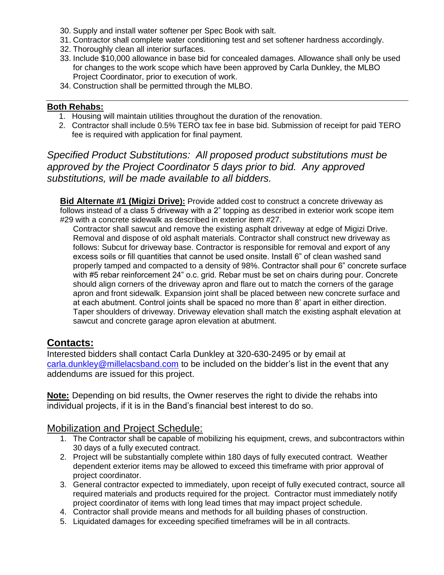- 30. Supply and install water softener per Spec Book with salt.
- 31. Contractor shall complete water conditioning test and set softener hardness accordingly.
- 32. Thoroughly clean all interior surfaces.
- 33. Include \$10,000 allowance in base bid for concealed damages. Allowance shall only be used for changes to the work scope which have been approved by Carla Dunkley, the MLBO Project Coordinator, prior to execution of work.
- 34. Construction shall be permitted through the MLBO.

#### **Both Rehabs:**

- 1. Housing will maintain utilities throughout the duration of the renovation.
- 2. Contractor shall include 0.5% TERO tax fee in base bid. Submission of receipt for paid TERO fee is required with application for final payment.

*Specified Product Substitutions: All proposed product substitutions must be approved by the Project Coordinator 5 days prior to bid. Any approved substitutions, will be made available to all bidders.*

**Bid Alternate #1 (Migizi Drive):** Provide added cost to construct a concrete driveway as follows instead of a class 5 driveway with a 2" topping as described in exterior work scope item #29 with a concrete sidewalk as described in exterior item #27.

Contractor shall sawcut and remove the existing asphalt driveway at edge of Migizi Drive. Removal and dispose of old asphalt materials. Contractor shall construct new driveway as follows: Subcut for driveway base. Contractor is responsible for removal and export of any excess soils or fill quantities that cannot be used onsite. Install 6" of clean washed sand properly tamped and compacted to a density of 98%. Contractor shall pour 6" concrete surface with #5 rebar reinforcement 24" o.c. grid. Rebar must be set on chairs during pour. Concrete should align corners of the driveway apron and flare out to match the corners of the garage apron and front sidewalk. Expansion joint shall be placed between new concrete surface and at each abutment. Control joints shall be spaced no more than 8' apart in either direction. Taper shoulders of driveway. Driveway elevation shall match the existing asphalt elevation at sawcut and concrete garage apron elevation at abutment.

### **Contacts:**

Interested bidders shall contact Carla Dunkley at 320-630-2495 or by email at [carla.dunkley@millelacsband.com](mailto:carla.dunkley@millelacsband.com) to be included on the bidder's list in the event that any addendums are issued for this project.

**Note:** Depending on bid results, the Owner reserves the right to divide the rehabs into individual projects, if it is in the Band's financial best interest to do so.

### Mobilization and Project Schedule:

- 1. The Contractor shall be capable of mobilizing his equipment, crews, and subcontractors within 30 days of a fully executed contract.
- 2. Project will be substantially complete within 180 days of fully executed contract. Weather dependent exterior items may be allowed to exceed this timeframe with prior approval of project coordinator.
- 3. General contractor expected to immediately, upon receipt of fully executed contract, source all required materials and products required for the project. Contractor must immediately notify project coordinator of items with long lead times that may impact project schedule.
- 4. Contractor shall provide means and methods for all building phases of construction.
- 5. Liquidated damages for exceeding specified timeframes will be in all contracts.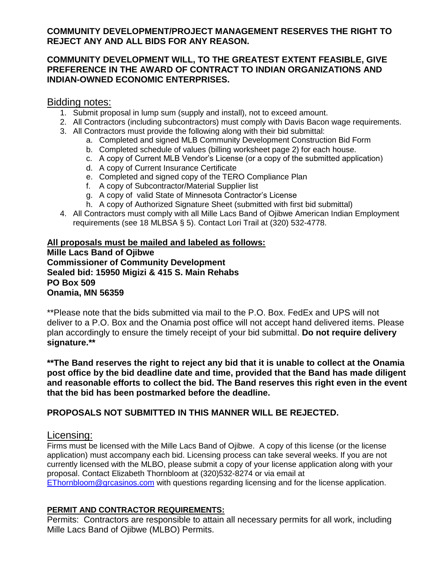### **COMMUNITY DEVELOPMENT/PROJECT MANAGEMENT RESERVES THE RIGHT TO REJECT ANY AND ALL BIDS FOR ANY REASON.**

### **COMMUNITY DEVELOPMENT WILL, TO THE GREATEST EXTENT FEASIBLE, GIVE PREFERENCE IN THE AWARD OF CONTRACT TO INDIAN ORGANIZATIONS AND INDIAN-OWNED ECONOMIC ENTERPRISES.**

### Bidding notes:

- 1. Submit proposal in lump sum (supply and install), not to exceed amount.
- 2. All Contractors (including subcontractors) must comply with Davis Bacon wage requirements.
- 3. All Contractors must provide the following along with their bid submittal:
	- a. Completed and signed MLB Community Development Construction Bid Form
	- b. Completed schedule of values (billing worksheet page 2) for each house.
	- c. A copy of Current MLB Vendor's License (or a copy of the submitted application)
	- d. A copy of Current Insurance Certificate
	- e. Completed and signed copy of the TERO Compliance Plan
	- f. A copy of Subcontractor/Material Supplier list
	- g. A copy of valid State of Minnesota Contractor's License
	- h. A copy of Authorized Signature Sheet (submitted with first bid submittal)
- 4. All Contractors must comply with all Mille Lacs Band of Ojibwe American Indian Employment requirements (see 18 MLBSA § 5). Contact Lori Trail at (320) 532-4778.

### **All proposals must be mailed and labeled as follows: Mille Lacs Band of Ojibwe Commissioner of Community Development Sealed bid: 15950 Migizi & 415 S. Main Rehabs PO Box 509 Onamia, MN 56359**

\*\*Please note that the bids submitted via mail to the P.O. Box. FedEx and UPS will not deliver to a P.O. Box and the Onamia post office will not accept hand delivered items. Please plan accordingly to ensure the timely receipt of your bid submittal. **Do not require delivery signature.\*\***

**\*\*The Band reserves the right to reject any bid that it is unable to collect at the Onamia post office by the bid deadline date and time, provided that the Band has made diligent and reasonable efforts to collect the bid. The Band reserves this right even in the event that the bid has been postmarked before the deadline.**

### **PROPOSALS NOT SUBMITTED IN THIS MANNER WILL BE REJECTED.**

### Licensing:

Firms must be licensed with the Mille Lacs Band of Ojibwe. A copy of this license (or the license application) must accompany each bid. Licensing process can take several weeks. If you are not currently licensed with the MLBO, please submit a copy of your license application along with your proposal. Contact Elizabeth Thornbloom at (320)532-8274 or via email at [EThornbloom@grcasinos.com](mailto:EThornbloom@grcasinos.com) with questions regarding licensing and for the license application.

### **PERMIT AND CONTRACTOR REQUIREMENTS:**

Permits: Contractors are responsible to attain all necessary permits for all work, including Mille Lacs Band of Ojibwe (MLBO) Permits.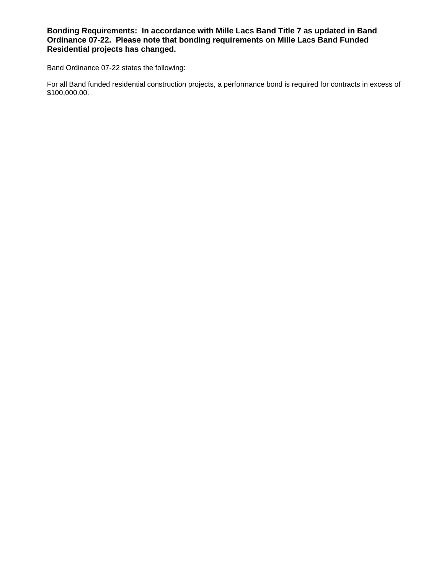**Bonding Requirements: In accordance with Mille Lacs Band Title 7 as updated in Band Ordinance 07-22. Please note that bonding requirements on Mille Lacs Band Funded Residential projects has changed.**

Band Ordinance 07-22 states the following:

For all Band funded residential construction projects, a performance bond is required for contracts in excess of \$100,000.00.